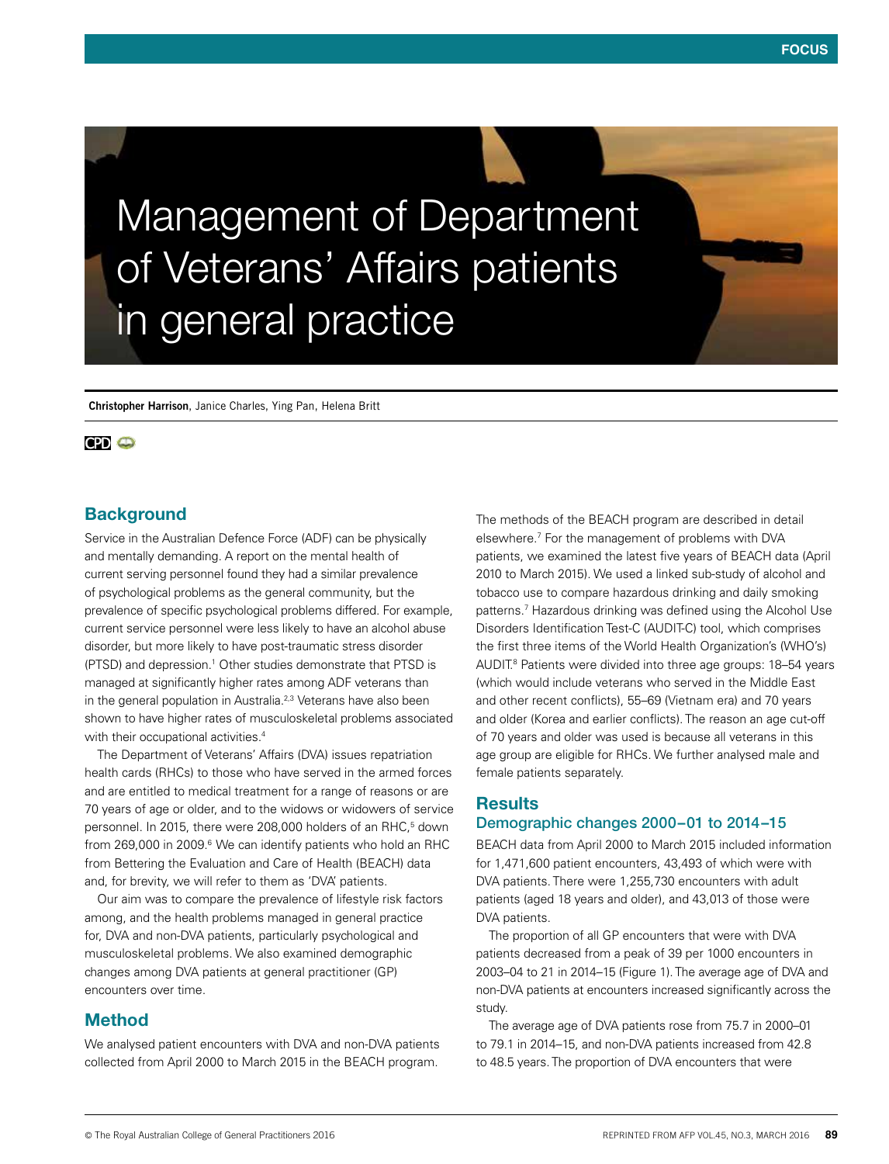Management of Department of Veterans' Affairs patients in general practice

**Christopher Harrison**, Janice Charles, Ying Pan, Helena Britt

## **CPD @**

# **Background**

Service in the Australian Defence Force (ADF) can be physically and mentally demanding. A report on the mental health of current serving personnel found they had a similar prevalence of psychological problems as the general community, but the prevalence of specific psychological problems differed. For example, current service personnel were less likely to have an alcohol abuse disorder, but more likely to have post-traumatic stress disorder (PTSD) and depression.<sup>1</sup> Other studies demonstrate that PTSD is managed at significantly higher rates among ADF veterans than in the general population in Australia.<sup>2,3</sup> Veterans have also been shown to have higher rates of musculoskeletal problems associated with their occupational activities.<sup>4</sup>

The Department of Veterans' Affairs (DVA) issues repatriation health cards (RHCs) to those who have served in the armed forces and are entitled to medical treatment for a range of reasons or are 70 years of age or older, and to the widows or widowers of service personnel. In 2015, there were 208,000 holders of an RHC,<sup>5</sup> down from 269,000 in 2009.<sup>6</sup> We can identify patients who hold an RHC from Bettering the Evaluation and Care of Health (BEACH) data and, for brevity, we will refer to them as 'DVA' patients.

Our aim was to compare the prevalence of lifestyle risk factors among, and the health problems managed in general practice for, DVA and non-DVA patients, particularly psychological and musculoskeletal problems. We also examined demographic changes among DVA patients at general practitioner (GP) encounters over time.

## Method

We analysed patient encounters with DVA and non-DVA patients collected from April 2000 to March 2015 in the BEACH program.

The methods of the BEACH program are described in detail elsewhere.7 For the management of problems with DVA patients, we examined the latest five years of BEACH data (April 2010 to March 2015). We used a linked sub-study of alcohol and tobacco use to compare hazardous drinking and daily smoking patterns.7 Hazardous drinking was defined using the Alcohol Use Disorders Identification Test-C (AUDIT-C) tool, which comprises the first three items of the World Health Organization's (WHO's) AUDIT.<sup>8</sup> Patients were divided into three age groups: 18-54 years (which would include veterans who served in the Middle East and other recent conflicts), 55–69 (Vietnam era) and 70 years and older (Korea and earlier conflicts). The reason an age cut-off of 70 years and older was used is because all veterans in this age group are eligible for RHCs. We further analysed male and female patients separately.

## **Results**

## Demographic changes 2000–01 to 2014–15

BEACH data from April 2000 to March 2015 included information for 1,471,600 patient encounters, 43,493 of which were with DVA patients. There were 1,255,730 encounters with adult patients (aged 18 years and older), and 43,013 of those were DVA patients.

The proportion of all GP encounters that were with DVA patients decreased from a peak of 39 per 1000 encounters in 2003–04 to 21 in 2014–15 (Figure 1). The average age of DVA and non-DVA patients at encounters increased significantly across the study.

The average age of DVA patients rose from 75.7 in 2000–01 to 79.1 in 2014–15, and non-DVA patients increased from 42.8 to 48.5 years. The proportion of DVA encounters that were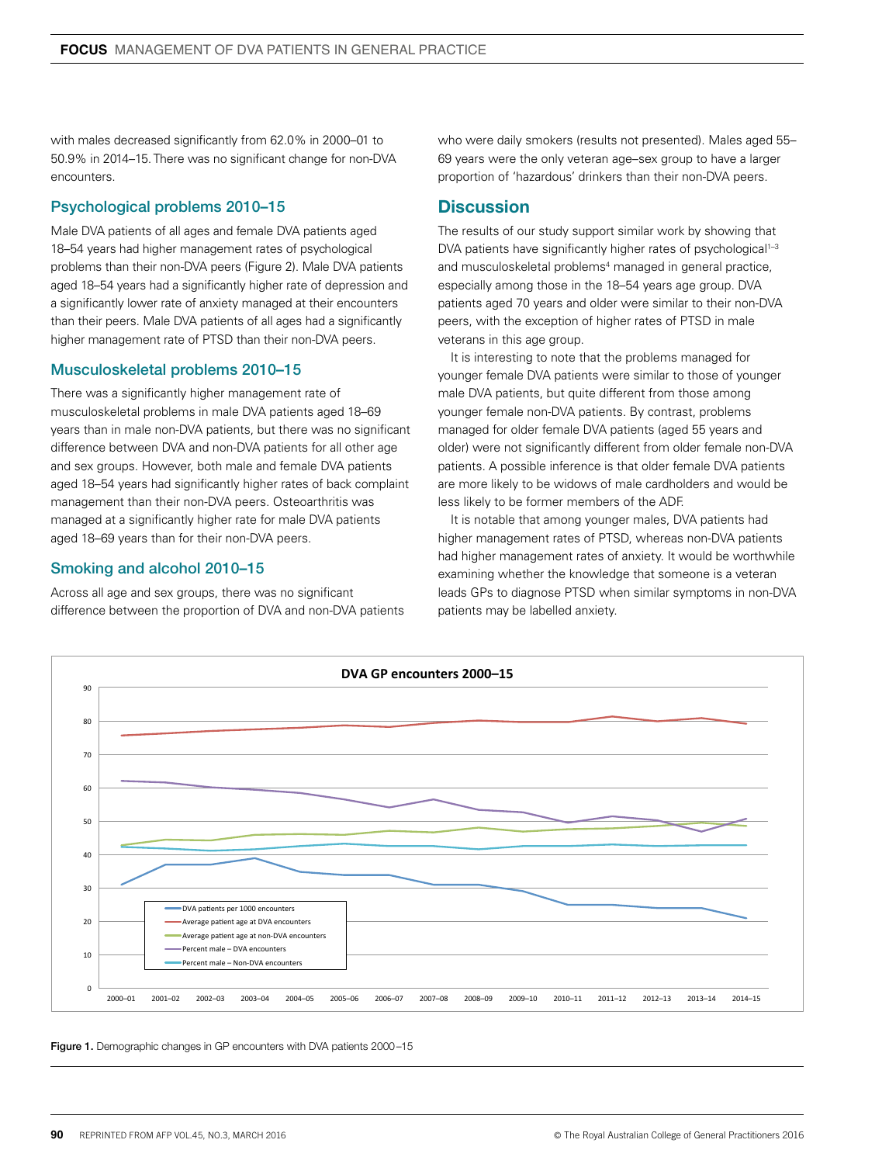with males decreased significantly from 62.0% in 2000–01 to 50.9% in 2014–15. There was no significant change for non-DVA encounters.

## Psychological problems 2010–15

Male DVA patients of all ages and female DVA patients aged 18–54 years had higher management rates of psychological problems than their non-DVA peers (Figure 2). Male DVA patients aged 18–54 years had a significantly higher rate of depression and a significantly lower rate of anxiety managed at their encounters than their peers. Male DVA patients of all ages had a significantly higher management rate of PTSD than their non-DVA peers.

### Musculoskeletal problems 2010–15

There was a significantly higher management rate of musculoskeletal problems in male DVA patients aged 18–69 years than in male non-DVA patients, but there was no significant difference between DVA and non-DVA patients for all other age and sex groups. However, both male and female DVA patients aged 18–54 years had significantly higher rates of back complaint management than their non-DVA peers. Osteoarthritis was managed at a significantly higher rate for male DVA patients aged 18–69 years than for their non-DVA peers.

### Smoking and alcohol 2010–15

Across all age and sex groups, there was no significant difference between the proportion of DVA and non-DVA patients who were daily smokers (results not presented). Males aged 55– 69 years were the only veteran age–sex group to have a larger proportion of 'hazardous' drinkers than their non-DVA peers.

## **Discussion**

The results of our study support similar work by showing that DVA patients have significantly higher rates of psychological<sup>1-3</sup> and musculoskeletal problems<sup>4</sup> managed in general practice, especially among those in the 18–54 years age group. DVA patients aged 70 years and older were similar to their non-DVA peers, with the exception of higher rates of PTSD in male veterans in this age group.

It is interesting to note that the problems managed for younger female DVA patients were similar to those of younger male DVA patients, but quite different from those among younger female non-DVA patients. By contrast, problems managed for older female DVA patients (aged 55 years and older) were not significantly different from older female non-DVA patients. A possible inference is that older female DVA patients are more likely to be widows of male cardholders and would be less likely to be former members of the ADF.

It is notable that among younger males, DVA patients had higher management rates of PTSD, whereas non-DVA patients had higher management rates of anxiety. It would be worthwhile examining whether the knowledge that someone is a veteran leads GPs to diagnose PTSD when similar symptoms in non-DVA patients may be labelled anxiety.



Figure 1. Demographic changes in GP encounters with DVA patients 2000-15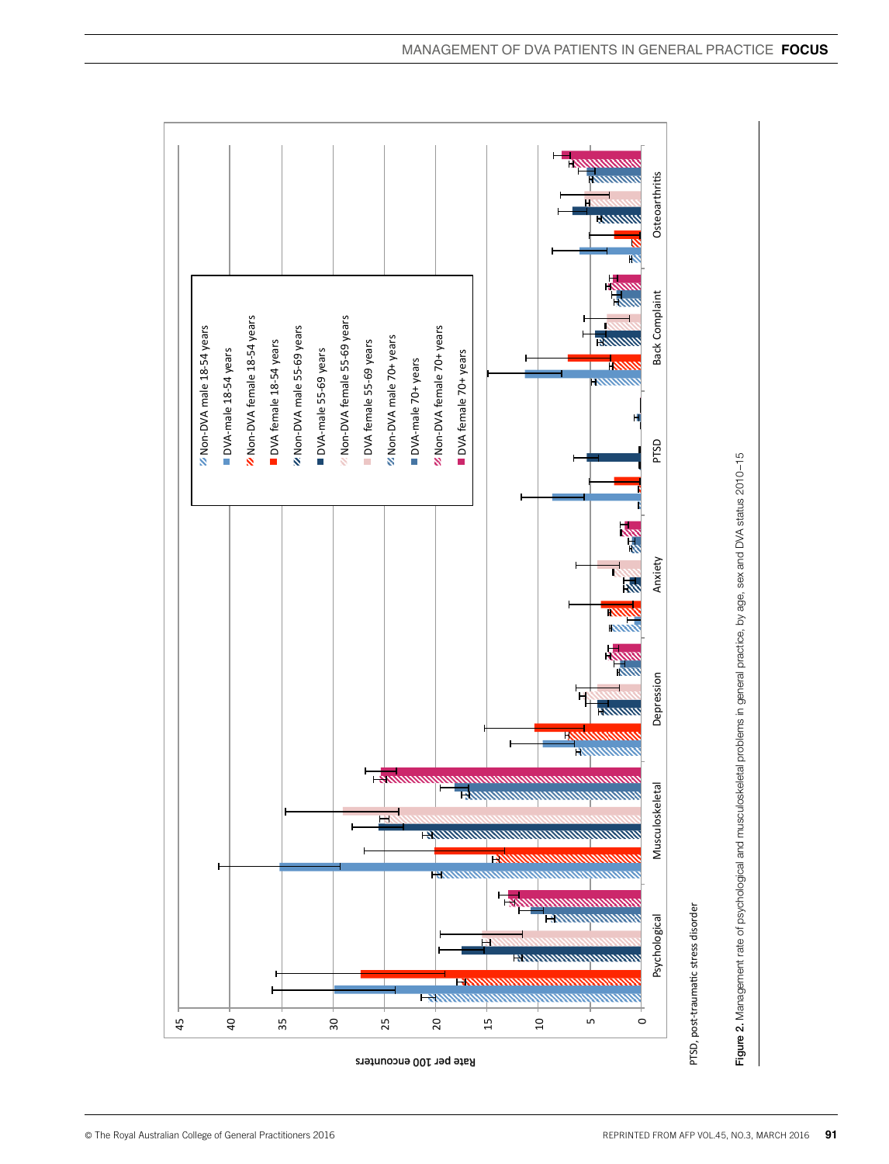